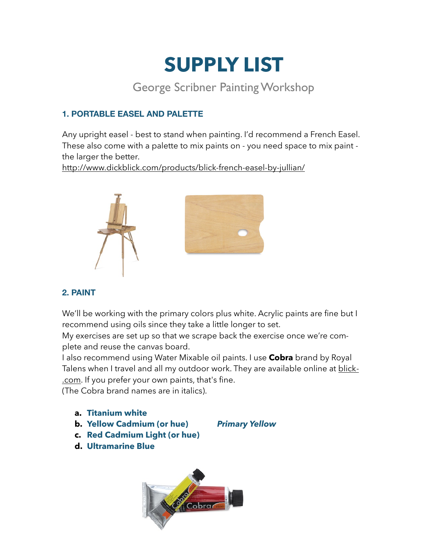# **SUPPLY LIST**

George Scribner Painting Workshop

### **1. PORTABLE EASEL AND PALETTE**

Any upright easel - best to stand when painting. I'd recommend a French Easel. These also come with a palette to mix paints on - you need space to mix paint the larger the better.

<http://www.dickblick.com/products/blick-french-easel-by-jullian/>





### **2. PAINT**

We'll be working with the primary colors plus white. Acrylic paints are fine but I recommend using oils since they take a little longer to set.

My exercises are set up so that we scrape back the exercise once we're complete and reuse the canvas board.

I also recommend using Water Mixable oil paints. I use **Cobra** brand by Royal Talens when I travel and all my outdoor work. They are available online at [blick](http://blick.com)-[.com](http://blick.com). If you prefer your own paints, that's fine.

(The Cobra brand names are in italics).

- **a. Titanium white**
- **b. Yellow Cadmium (or hue)** *Primary Yellow*
- **c. Red Cadmium Light (or hue)**
- **d. Ultramarine Blue**

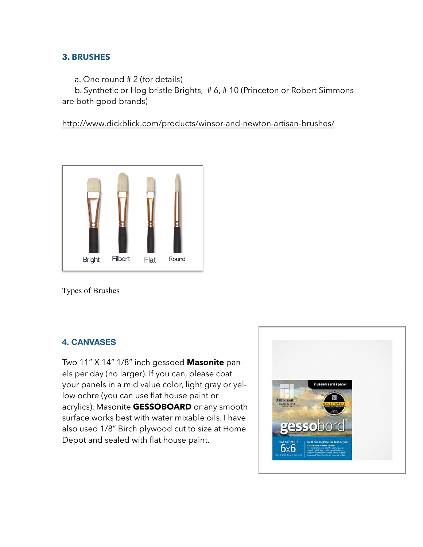### **3. BRUSHES**

a. One round # 2 (for details)

 b. Synthetic or Hog bristle Brights, # 6, # 10 (Princeton or Robert Simmons are both good brands)

<http://www.dickblick.com/products/winsor-and-newton-artisan-brushes/>



Types of Brushes

#### **4. CANVASES**

Two 11" X 14" 1/8" inch gessoed **Masonite** panels per day (no larger). If you can, please coat your panels in a mid value color, light gray or yellow ochre (you can use flat house paint or acrylics). Masonite **GESSOBOARD** or any smooth surface works best with water mixable oils. I have also used 1/8" Birch plywood cut to size at Home Depot and sealed with flat house paint.